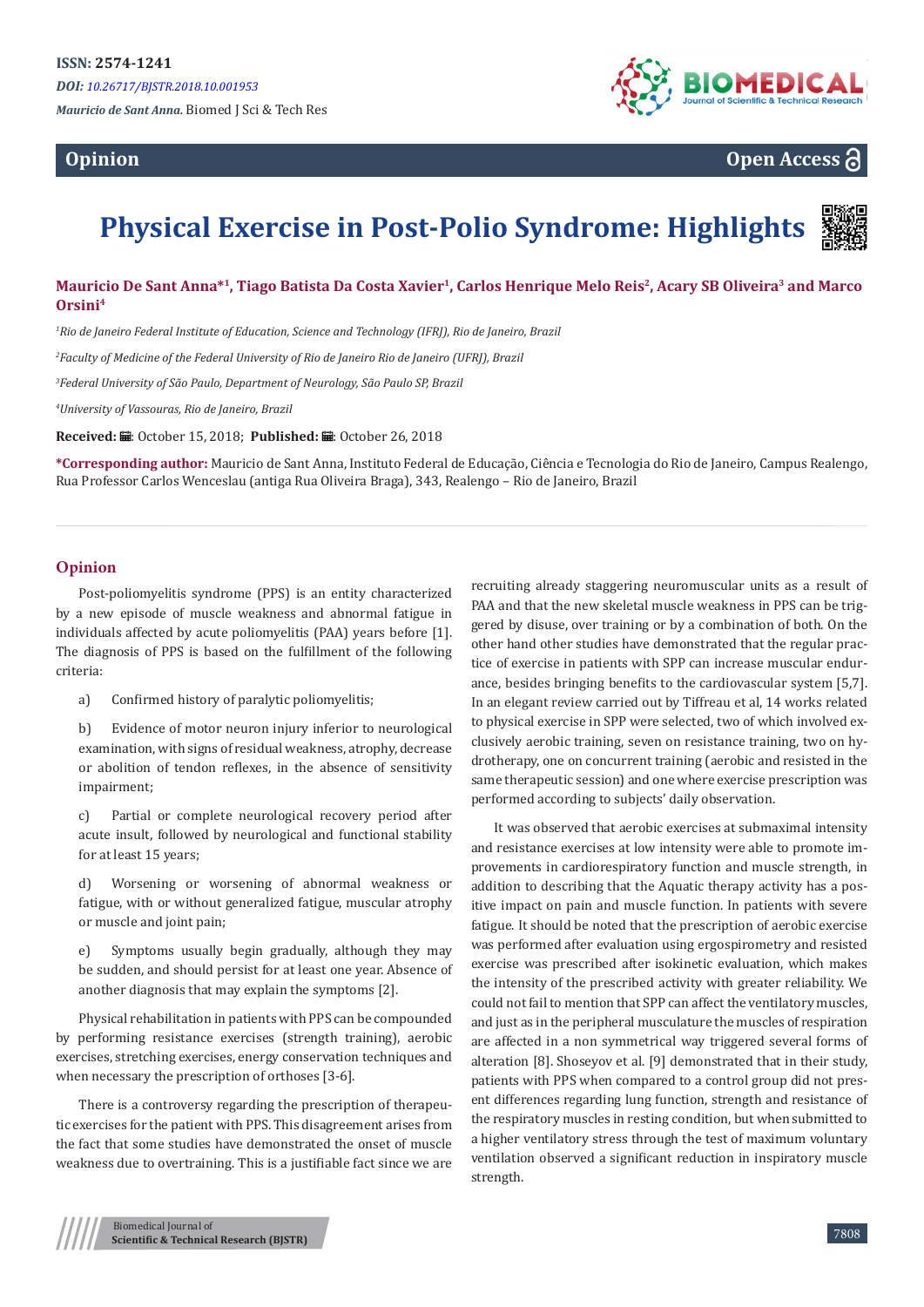# **Opinion**



**Open Access**

# **Physical Exercise in Post-Polio Syndrome: Highlights**



# **Mauricio De Sant Anna\*<sup>1</sup>, Tiago Batista Da Costa Xavier<sup>1</sup>, Carlos Henrique Melo Reis<sup>2</sup>, Acary SB Oliveira<sup>3</sup> and Marco Orsini<sup>4</sup>**

 *Rio de Janeiro Federal Institute of Education, Science and Technology (IFRJ), Rio de Janeiro, Brazil Faculty of Medicine of the Federal University of Rio de Janeiro Rio de Janeiro (UFRJ), Brazil Federal University of São Paulo, Department of Neurology, São Paulo SP, Brazil University of Vassouras, Rio de Janeiro, Brazil*

Received: *=* October 15, 2018; Published: ■: October 26, 2018

**\*Corresponding author:** Mauricio de Sant Anna, Instituto Federal de Educação, Ciência e Tecnologia do Rio de Janeiro, Campus Realengo, Rua Professor Carlos Wenceslau (antiga Rua Oliveira Braga), 343, Realengo – Rio de Janeiro, Brazil

# **Opinion**

Post-poliomyelitis syndrome (PPS) is an entity characterized by a new episode of muscle weakness and abnormal fatigue in individuals affected by acute poliomyelitis (PAA) years before [1]. The diagnosis of PPS is based on the fulfillment of the following criteria:

a) Confirmed history of paralytic poliomyelitis;

b) Evidence of motor neuron injury inferior to neurological examination, with signs of residual weakness, atrophy, decrease or abolition of tendon reflexes, in the absence of sensitivity impairment;

c) Partial or complete neurological recovery period after acute insult, followed by neurological and functional stability for at least 15 years;

d) Worsening or worsening of abnormal weakness or fatigue, with or without generalized fatigue, muscular atrophy or muscle and joint pain;

e) Symptoms usually begin gradually, although they may be sudden, and should persist for at least one year. Absence of another diagnosis that may explain the symptoms [2].

Physical rehabilitation in patients with PPS can be compounded by performing resistance exercises (strength training), aerobic exercises, stretching exercises, energy conservation techniques and when necessary the prescription of orthoses [3-6].

There is a controversy regarding the prescription of therapeutic exercises for the patient with PPS. This disagreement arises from the fact that some studies have demonstrated the onset of muscle weakness due to overtraining. This is a justifiable fact since we are recruiting already staggering neuromuscular units as a result of PAA and that the new skeletal muscle weakness in PPS can be triggered by disuse, over training or by a combination of both. On the other hand other studies have demonstrated that the regular practice of exercise in patients with SPP can increase muscular endurance, besides bringing benefits to the cardiovascular system [5,7]. In an elegant review carried out by Tiffreau et al, 14 works related to physical exercise in SPP were selected, two of which involved exclusively aerobic training, seven on resistance training, two on hydrotherapy, one on concurrent training (aerobic and resisted in the same therapeutic session) and one where exercise prescription was performed according to subjects' daily observation.

It was observed that aerobic exercises at submaximal intensity and resistance exercises at low intensity were able to promote improvements in cardiorespiratory function and muscle strength, in addition to describing that the Aquatic therapy activity has a positive impact on pain and muscle function. In patients with severe fatigue. It should be noted that the prescription of aerobic exercise was performed after evaluation using ergospirometry and resisted exercise was prescribed after isokinetic evaluation, which makes the intensity of the prescribed activity with greater reliability. We could not fail to mention that SPP can affect the ventilatory muscles, and just as in the peripheral musculature the muscles of respiration are affected in a non symmetrical way triggered several forms of alteration [8]. Shoseyov et al. [9] demonstrated that in their study, patients with PPS when compared to a control group did not present differences regarding lung function, strength and resistance of the respiratory muscles in resting condition, but when submitted to a higher ventilatory stress through the test of maximum voluntary ventilation observed a significant reduction in inspiratory muscle strength.